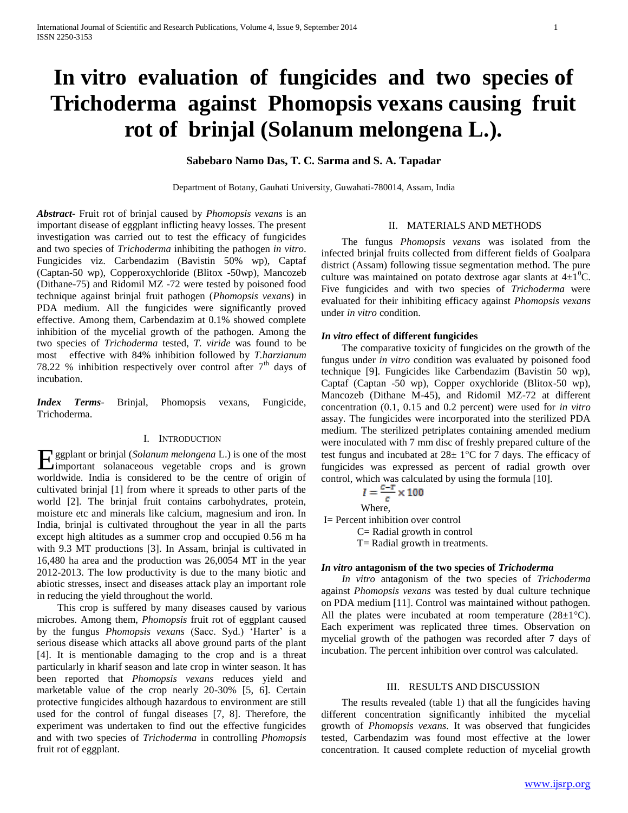# **In vitro evaluation of fungicides and two species of Trichoderma against Phomopsis vexans causing fruit rot of brinjal (Solanum melongena L.).**

# **Sabebaro Namo Das, T. C. Sarma and S. A. Tapadar**

Department of Botany, Gauhati University, Guwahati-780014, Assam, India

*Abstract***-** Fruit rot of brinjal caused by *Phomopsis vexans* is an important disease of eggplant inflicting heavy losses. The present investigation was carried out to test the efficacy of fungicides and two species of *Trichoderma* inhibiting the pathogen *in vitro*. Fungicides viz. Carbendazim (Bavistin 50% wp), Captaf (Captan-50 wp), Copperoxychloride (Blitox -50wp), Mancozeb (Dithane-75) and Ridomil MZ -72 were tested by poisoned food technique against brinjal fruit pathogen (*Phomopsis vexans*) in PDA medium. All the fungicides were significantly proved effective. Among them, Carbendazim at 0.1% showed complete inhibition of the mycelial growth of the pathogen. Among the two species of *Trichoderma* tested, *T. viride* was found to be most effective with 84% inhibition followed by *T.harzianum* 78.22 % inhibition respectively over control after  $7<sup>th</sup>$  days of incubation.

*Index Terms*- Brinjal, Phomopsis vexans, Fungicide, Trichoderma.

# I. INTRODUCTION

**Example 1** Golanum melongena L.) is one of the most important solanaceous vegetable crops and is grown important solanaceous vegetable crops and is grown worldwide. India is considered to be the centre of origin of cultivated brinjal [1] from where it spreads to other parts of the world [2]. The brinjal fruit contains carbohydrates, protein, moisture etc and minerals like calcium, magnesium and iron. In India, brinjal is cultivated throughout the year in all the parts except high altitudes as a summer crop and occupied 0.56 m ha with 9.3 MT productions [3]. In Assam, brinjal is cultivated in 16,480 ha area and the production was 26,0054 MT in the year 2012-2013. The low productivity is due to the many biotic and abiotic stresses, insect and diseases attack play an important role in reducing the yield throughout the world.

 This crop is suffered by many diseases caused by various microbes. Among them, *Phomopsis* fruit rot of eggplant caused by the fungus *Phomopsis vexans* (Sacc. Syd.) 'Harter' is a serious disease which attacks all above ground parts of the plant [4]. It is mentionable damaging to the crop and is a threat particularly in kharif season and late crop in winter season. It has been reported that *Phomopsis vexans* reduces yield and marketable value of the crop nearly 20-30% [5, 6]. Certain protective fungicides although hazardous to environment are still used for the control of fungal diseases [7, 8]. Therefore, the experiment was undertaken to find out the effective fungicides and with two species of *Trichoderma* in controlling *Phomopsis* fruit rot of eggplant.

# II. MATERIALS AND METHODS

 The fungus *Phomopsis vexans* was isolated from the infected brinjal fruits collected from different fields of Goalpara district (Assam) following tissue segmentation method. The pure culture was maintained on potato dextrose agar slants at  $4\pm1$ <sup>o</sup>C. Five fungicides and with two species of *Trichoderma* were evaluated for their inhibiting efficacy against *Phomopsis vexans* under *in vitro* condition.

#### *In vitro* **effect of different fungicides**

 The comparative toxicity of fungicides on the growth of the fungus under *in vitro* condition was evaluated by poisoned food technique [9]. Fungicides like Carbendazim (Bavistin 50 wp), Captaf (Captan -50 wp), Copper oxychloride (Blitox-50 wp), Mancozeb (Dithane M-45), and Ridomil MZ-72 at different concentration (0.1, 0.15 and 0.2 percent) were used for *in vitro* assay. The fungicides were incorporated into the sterilized PDA medium. The sterilized petriplates containing amended medium were inoculated with 7 mm disc of freshly prepared culture of the test fungus and incubated at  $28 \pm 1^{\circ}$ C for 7 days. The efficacy of fungicides was expressed as percent of radial growth over control, which was calculated by using the formula [10].

$$
I=\frac{c-r}{c}\times 100
$$

Where,

I= Percent inhibition over control C= Radial growth in control T= Radial growth in treatments.

# *In vitro* **antagonism of the two species of** *Trichoderma*

 *In vitro* antagonism of the two species of *Trichoderma* against *Phomopsis vexans* was tested by dual culture technique on PDA medium [11]. Control was maintained without pathogen. All the plates were incubated at room temperature  $(28\pm1\degree C)$ . Each experiment was replicated three times. Observation on mycelial growth of the pathogen was recorded after 7 days of incubation. The percent inhibition over control was calculated.

#### III. RESULTS AND DISCUSSION

 The results revealed (table 1) that all the fungicides having different concentration significantly inhibited the mycelial growth of *Phomopsis vexans*. It was observed that fungicides tested, Carbendazim was found most effective at the lower concentration. It caused complete reduction of mycelial growth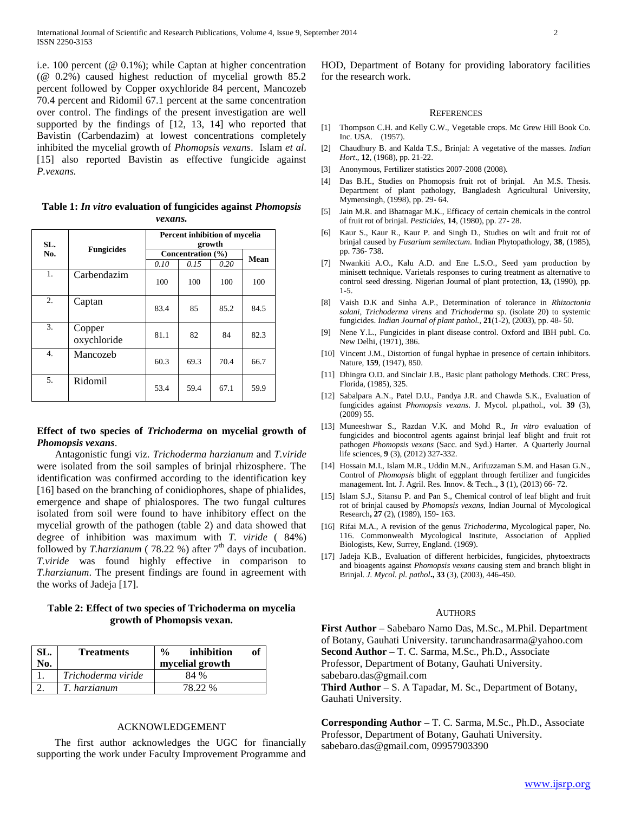i.e. 100 percent (@ 0.1%); while Captan at higher concentration (@ 0.2%) caused highest reduction of mycelial growth 85.2 percent followed by Copper oxychloride 84 percent, Mancozeb 70.4 percent and Ridomil 67.1 percent at the same concentration over control. The findings of the present investigation are well supported by the findings of [12, 13, 14] who reported that Bavistin (Carbendazim) at lowest concentrations completely inhibited the mycelial growth of *Phomopsis vexans*. Islam *et al*. [15] also reported Bavistin as effective fungicide against *P.vexans.*

**Table 1:** *In vitro* **evaluation of fungicides against** *Phomopsis vexans.*

| SL. | <b>Fungicides</b>     | Percent inhibition of mycelia<br>growth |      |      |             |
|-----|-----------------------|-----------------------------------------|------|------|-------------|
| No. |                       | Concentration (%)                       |      |      | <b>Mean</b> |
|     |                       | 0.10                                    | 0.15 | 0.20 |             |
| 1.  | Carbendazim           | 100                                     | 100  | 100  | 100         |
| 2.  | Captan                | 83.4                                    | 85   | 85.2 | 84.5        |
| 3.  | Copper<br>oxychloride | 81.1                                    | 82   | 84   | 82.3        |
| 4.  | Mancozeb              | 60.3                                    | 69.3 | 70.4 | 66.7        |
| 5.  | Ridomil               | 53.4                                    | 59.4 | 67.1 | 59.9        |

# **Effect of two species of** *Trichoderma* **on mycelial growth of**  *Phomopsis vexans*.

 Antagonistic fungi viz. *Trichoderma harzianum* and *T.viride* were isolated from the soil samples of brinjal rhizosphere. The identification was confirmed according to the identification key [16] based on the branching of conidiophores, shape of phialides, emergence and shape of phialospores. The two fungal cultures isolated from soil were found to have inhibitory effect on the mycelial growth of the pathogen (table 2) and data showed that degree of inhibition was maximum with *T. viride* ( 84%) followed by *T.harzianum* (78.22 %) after  $7<sup>th</sup>$  days of incubation. *T.viride* was found highly effective in comparison to *T.harzianum*. The present findings are found in agreement with the works of Jadeja [17].

# **Table 2: Effect of two species of Trichoderma on mycelia growth of Phomopsis vexan.**

| SL. | <b>Treatments</b>  | $\frac{0}{0}$<br>inhibition | оf |
|-----|--------------------|-----------------------------|----|
| No. |                    | mycelial growth             |    |
|     | Trichoderma viride | 84 %                        |    |
|     | T. harzianum       | 78 22 %                     |    |

### ACKNOWLEDGEMENT

 The first author acknowledges the UGC for financially supporting the work under Faculty Improvement Programme and HOD, Department of Botany for providing laboratory facilities for the research work.

#### **REFERENCES**

- [1] Thompson C.H. and Kelly C.W., Vegetable crops. Mc Grew Hill Book Co. Inc. USA. (1957).
- [2] Chaudhury B. and Kalda T.S., Brinjal: A vegetative of the masses. *Indian Hort*., **12**, (1968), pp. 21-22.
- [3] Anonymous, Fertilizer statistics 2007-2008 (2008).
- [4] Das B.H., Studies on Phomopsis fruit rot of brinjal. An M.S. Thesis. Department of plant pathology, Bangladesh Agricultural University, Mymensingh, (1998), pp. 29- 64.
- [5] Jain M.R. and Bhatnagar M.K., Efficacy of certain chemicals in the control of fruit rot of brinjal. *Pesticides,* **14**, (1980), pp. 27- 28.
- [6] Kaur S., Kaur R., Kaur P. and Singh D., Studies on wilt and fruit rot of brinjal caused by *Fusarium semitectum*. Indian Phytopathology, **38**, (1985), pp. 736- 738.
- [7] Nwankiti A.O., Kalu A.D. and Ene L.S.O., Seed yam production by minisett technique. Varietals responses to curing treatment as alternative to control seed dressing. Nigerian Journal of plant protection, **13,** (1990), pp. 1-5.
- [8] Vaish D.K and Sinha A.P., Determination of tolerance in *Rhizoctonia solani*, *Trichoderma virens* and *Trichoderma* sp. (isolate 20) to systemic fungicides. *Indian Journal of plant pathol.,* **21**(1-2), (2003), pp. 48- 50.
- [9] Nene Y.L., Fungicides in plant disease control. Oxford and IBH publ. Co. New Delhi, (1971), 386.
- [10] Vincent J.M., Distortion of fungal hyphae in presence of certain inhibitors. Nature, **159**, (1947), 850.
- [11] Dhingra O.D. and Sinclair J.B., Basic plant pathology Methods. CRC Press, Florida, (1985), 325.
- [12] Sabalpara A.N., Patel D.U., Pandya J.R. and Chawda S.K., Evaluation of fungicides against *Phomopsis vexans*. J. Mycol. pl.pathol., vol. **39** (3), (2009) 55.
- [13] Muneeshwar S., Razdan V.K. and Mohd R., *In vitro* evaluation of fungicides and biocontrol agents against brinjal leaf blight and fruit rot pathogen *Phomopsis vexans* (Sacc. and Syd.) Harter. A Quarterly Journal life sciences, **9** (3), (2012) 327-332.
- [14] Hossain M.I., Islam M.R., Uddin M.N., Arifuzzaman S.M. and Hasan G.N., Control of *Phomopsis* blight of eggplant through fertilizer and fungicides management. Int. J. Agril. Res. Innov. & Tech.., **3** (1), (2013) 66- 72.
- [15] Islam S.J., Sitansu P. and Pan S., Chemical control of leaf blight and fruit rot of brinjal caused by *Phomopsis vexans*, Indian Journal of Mycological Research**, 27** (2), (1989), 159- 163.
- [16] Rifai M.A., A revision of the genus *Trichoderma*, Mycological paper, No. 116. Commonwealth Mycological Institute, Association of Applied Biologists, Kew, Surrey, England. (1969).
- [17] Jadeja K.B., Evaluation of different herbicides, fungicides, phytoextracts and bioagents against *Phomopsis vexans* causing stem and branch blight in Brinjal. *J. Mycol. pl. pathol***., 33** (3), (2003), 446-450.

#### AUTHORS

**First Author –** Sabebaro Namo Das, M.Sc., M.Phil. Department of Botany, Gauhati University. tarunchandrasarma@yahoo.com **Second Author –** T. C. Sarma, M.Sc., Ph.D., Associate Professor, Department of Botany, Gauhati University.

sabebaro.das@gmail.com

**Third Author –** S. A Tapadar, M. Sc., Department of Botany, Gauhati University.

**Corresponding Author –** T. C. Sarma, M.Sc., Ph.D., Associate Professor, Department of Botany, Gauhati University. sabebaro.das@gmail.com, 09957903390